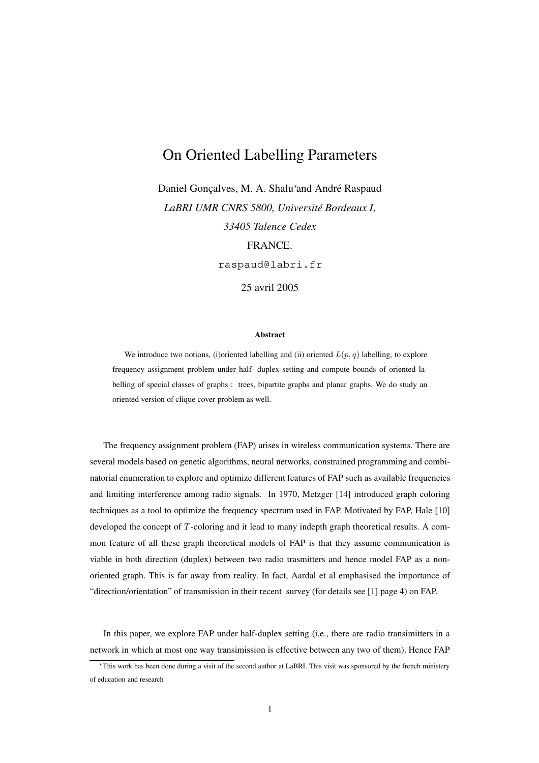# On Oriented Labelling Parameters

Daniel Gonçalves, M. A. Shalu<sup>∗</sup> and André Raspaud *LaBRI UMR CNRS 5800, Université Bordeaux I*, *33405 Talence Cedex* FRANCE.

raspaud@labri.fr

25 avril 2005

#### **Abstract**

We introduce two notions, (i)oriented labelling and (ii) oriented  $L(p, q)$  labelling, to explore frequency assignment problem under half- duplex setting and compute bounds of oriented labelling of special classes of graphs : trees, bipartite graphs and planar graphs. We do study an oriented version of clique cover problem as well.

The frequency assignment problem (FAP) arises in wireless communication systems. There are several models based on genetic algorithms, neural networks, constrained programming and combinatorial enumeration to explore and optimize different features of FAP such as available frequencies and limiting interference among radio signals. In 1970, Metzger [14] introduced graph coloring techniques as a tool to optimize the frequency spectrum used in FAP. Motivated by FAP, Hale [10] developed the concept of T-coloring and it lead to many indepth graph theoretical results. A common feature of all these graph theoretical models of FAP is that they assume communication is viable in both direction (duplex) between two radio trasmitters and hence model FAP as a nonoriented graph. This is far away from reality. In fact, Aardal et al emphasised the importance of "direction/orientation" of transmission in their recent survey (for details see [1] page 4) on FAP.

In this paper, we explore FAP under half-duplex setting (i.e., there are radio transimitters in a network in which at most one way transimission is effective between any two of them). Hence FAP

<sup>∗</sup>This work has been done during a visit of the second author at LaBRI. This visit was sponsored by the french ministery of education and research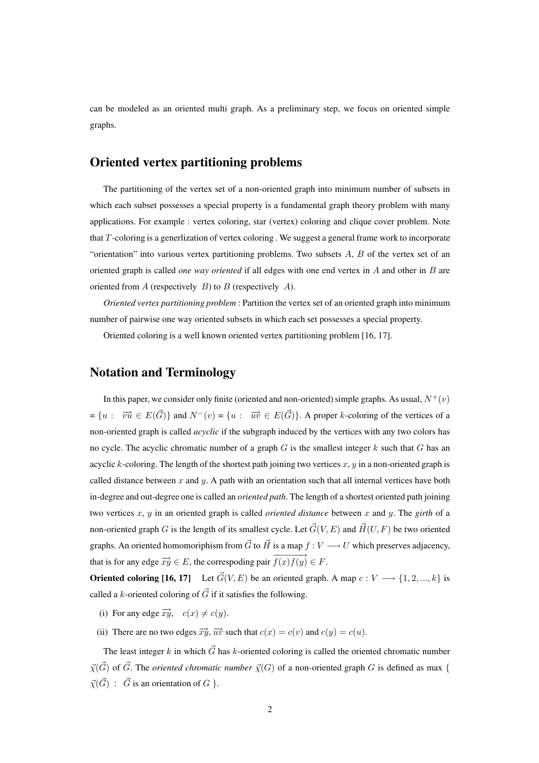can be modeled as an oriented multi graph. As a preliminary step, we focus on oriented simple graphs.

#### **Oriented vertex partitioning problems**

The partitioning of the vertex set of a non-oriented graph into minimum number of subsets in which each subset possesses a special property is a fundamental graph theory problem with many applications. For example : vertex coloring, star (vertex) coloring and clique cover problem. Note that T -coloring is a generlization of vertex coloring . We suggest a general frame work to incorporate "orientation" into various vertex partitioning problems. Two subsets  $A$ ,  $B$  of the vertex set of an oriented graph is called *one way oriented* if all edges with one end vertex in A and other in B are oriented from  $A$  (respectively  $B$ ) to  $B$  (respectively  $A$ ).

*Oriented vertex partitioning problem* : Partition the vertex set of an oriented graph into minimum number of pairwise one way oriented subsets in which each set possesses a special property.

Oriented coloring is a well known oriented vertex partitioning problem [16, 17].

#### **Notation and Terminology**

In this paper, we consider only finite (oriented and non-oriented) simple graphs. As usual,  $N^+(v)$  $=\{u: \overrightarrow{vu} \in E(\vec{G})\}$  and  $N^-(v) = \{u: \overrightarrow{uv} \in E(\vec{G})\}$ . A proper k-coloring of the vertices of a non-oriented graph is called *acyclic* if the subgraph induced by the vertices with any two colors has no cycle. The acyclic chromatic number of a graph  $G$  is the smallest integer  $k$  such that  $G$  has an acyclic k-coloring. The length of the shortest path joining two vertices  $x, y$  in a non-oriented graph is called distance between  $x$  and  $y$ . A path with an orientation such that all internal vertices have both in-degree and out-degree one is called an *oriented path*. The length of a shortest oriented path joining two vertices x, y in an oriented graph is called *oriented distance* between x and y. The *girth* of a non-oriented graph G is the length of its smallest cycle. Let  $\vec{G}(V, E)$  and  $\vec{H}(U, F)$  be two oriented graphs. An oriented homomoriphism from  $\vec{G}$  to  $\vec{H}$  is a map  $f : V \longrightarrow U$  which preserves adjacency, that is for any edge  $\overrightarrow{xy} \in E$ , the correspoding pair  $\overrightarrow{f(x)f(y)} \in F$ .

**Oriented coloring [16, 17]** Let  $\vec{G}(V, E)$  be an oriented graph. A map  $c : V \longrightarrow \{1, 2, ..., k\}$  is called a k-oriented coloring of  $\vec{G}$  if it satisfies the following.

- (i) For any edge  $\overrightarrow{xy}$ ,  $c(x) \neq c(y)$ .
- (ii) There are no two edges  $\overrightarrow{xy}$ ,  $\overrightarrow{uv}$  such that  $c(x) = c(v)$  and  $c(y) = c(u)$ .

The least integer k in which  $\vec{G}$  has k-oriented coloring is called the oriented chromatic number  $\vec{\chi}(\vec{G})$  of  $\vec{G}$ . The *oriented chromatic number*  $\vec{\chi}(G)$  of a non-oriented graph G is defined as max {  $\vec{\chi}(\vec{G})$  :  $\vec{G}$  is an orientation of  $G$  }.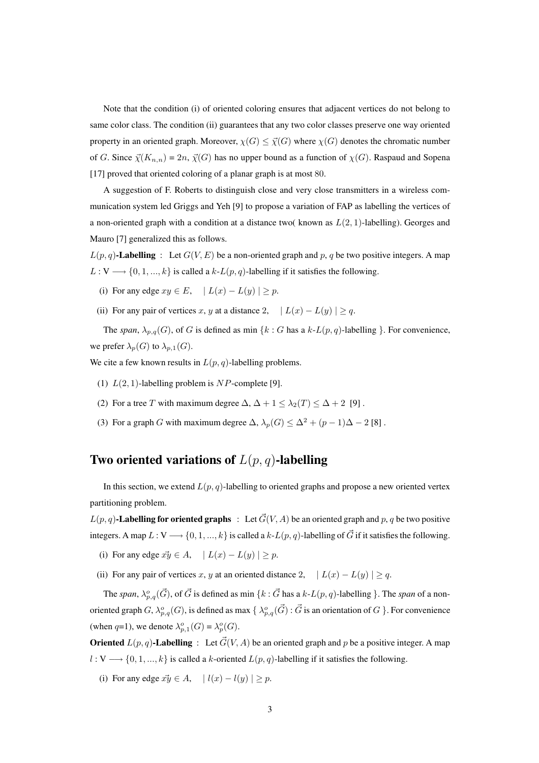Note that the condition (i) of oriented coloring ensures that adjacent vertices do not belong to same color class. The condition (ii) guarantees that any two color classes preserve one way oriented property in an oriented graph. Moreover,  $\chi(G) \leq \overline{\chi}(G)$  where  $\chi(G)$  denotes the chromatic number of G. Since  $\vec{\chi}(K_{n,n}) = 2n$ ,  $\vec{\chi}(G)$  has no upper bound as a function of  $\chi(G)$ . Raspaud and Sopena [17] proved that oriented coloring of a planar graph is at most 80.

A suggestion of F. Roberts to distinguish close and very close transmitters in a wireless communication system led Griggs and Yeh [9] to propose a variation of FAP as labelling the vertices of a non-oriented graph with a condition at a distance two( known as  $L(2, 1)$ -labelling). Georges and Mauro [7] generalized this as follows.

 $L(p, q)$ **-Labelling** : Let  $G(V, E)$  be a non-oriented graph and p, q be two positive integers. A map  $L: V \longrightarrow \{0, 1, ..., k\}$  is called a  $k-L(p, q)$ -labelling if it satisfies the following.

- (i) For any edge  $xy \in E$ ,  $| L(x) L(y) | \ge p$ .
- (ii) For any pair of vertices x, y at a distance 2,  $| L(x) L(y) | \geq q$ .

The *span*,  $\lambda_{p,q}(G)$ , of G is defined as min  $\{k : G$  has a  $k\text{-}L(p,q)$ -labelling  $\}$ . For convenience, we prefer  $\lambda_p(G)$  to  $\lambda_{p,1}(G)$ .

We cite a few known results in  $L(p, q)$ -labelling problems.

- (1)  $L(2, 1)$ -labelling problem is NP-complete [9].
- (2) For a tree T with maximum degree  $\Delta$ ,  $\Delta + 1 \leq \lambda_2(T) \leq \Delta + 2$  [9].
- (3) For a graph G with maximum degree  $\Delta$ ,  $\lambda_p(G) \leq \Delta^2 + (p-1)\Delta 2$  [8].

### **Two oriented variations of** L(p, q)**-labelling**

In this section, we extend  $L(p, q)$ -labelling to oriented graphs and propose a new oriented vertex partitioning problem.

 $L(p, q)$ **-Labelling for oriented graphs** : Let  $\vec{G}(V, A)$  be an oriented graph and p, q be two positive integers. A map  $L: V \longrightarrow \{0, 1, ..., k\}$  is called a  $k-L(p, q)$ -labelling of  $\vec{G}$  if it satisfies the following.

- (i) For any edge  $\vec{xy} \in A$ ,  $| L(x) L(y) | \geq p$ .
- (ii) For any pair of vertices x, y at an oriented distance 2,  $|L(x) L(y)| \geq q$ .

The *span*,  $\lambda_{p,q}^o(\vec{G})$ , of  $\vec{G}$  is defined as min  $\{k : \vec{G}$  has a  $k\text{-}L(p,q)$ -labelling  $\}$ . The *span* of a nonoriented graph  $G$ ,  $\lambda_{p,q}^o(G)$ , is defined as max  $\{\lambda_{p,q}^o(\vec{G}): \vec{G}$  is an orientation of  $G$  }. For convenience (when q=1), we denote  $\lambda_{p,1}^o(G) = \lambda_p^o(G)$ .

**Oriented**  $L(p, q)$ **-Labelling** : Let  $\vec{G}(V, A)$  be an oriented graph and p be a positive integer. A map  $l: V \longrightarrow \{0, 1, ..., k\}$  is called a k-oriented  $L(p, q)$ -labelling if it satisfies the following.

(i) For any edge  $\vec{xy} \in A$ ,  $| l(x) - l(y) | \geq p$ .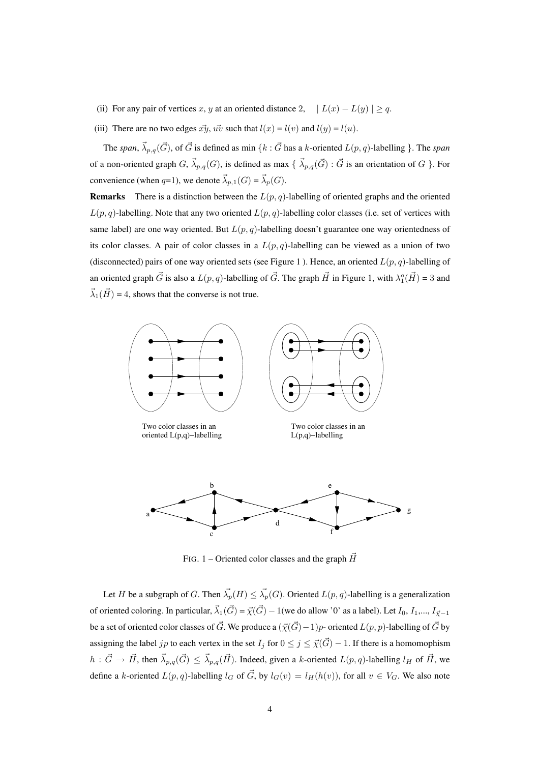- (ii) For any pair of vertices x, y at an oriented distance 2,  $| L(x) L(y) | \ge q$ .
- (iii) There are no two edges  $\vec{xy}$ ,  $\vec{uv}$  such that  $l(x) = l(v)$  and  $l(y) = l(u)$ .

The *span*,  $\vec{\lambda}_{p,q}(\vec{G})$ , of  $\vec{G}$  is defined as min  $\{k : \vec{G}$  has a k-oriented  $L(p,q)$ -labelling  $\}$ . The *span* of a non-oriented graph  $G, \vec{\lambda}_{p,q}(G)$ , is defined as max  $\{\vec{\lambda}_{p,q}(\vec{G}) : \vec{G}$  is an orientation of  $G \}$ . For convenience (when q=1), we denote  $\vec{\lambda}_{p,1}(G) = \vec{\lambda}_p(G)$ .

**Remarks** There is a distinction between the  $L(p, q)$ -labelling of oriented graphs and the oriented  $L(p, q)$ -labelling. Note that any two oriented  $L(p, q)$ -labelling color classes (i.e. set of vertices with same label) are one way oriented. But  $L(p, q)$ -labelling doesn't guarantee one way orientedness of its color classes. A pair of color classes in a  $L(p, q)$ -labelling can be viewed as a union of two (disconnected) pairs of one way oriented sets (see Figure 1). Hence, an oriented  $L(p, q)$ -labelling of an oriented graph  $\vec{G}$  is also a  $L(p,q)$ -labelling of  $\vec{G}$ . The graph  $\vec{H}$  in Figure 1, with  $\lambda_1^o(\vec{H}) = 3$  and  $\vec{\lambda}_1(\vec{H}) = 4$ , shows that the converse is not true.



FIG. 1 – Oriented color classes and the graph  $\vec{H}$ 

Let H be a subgraph of G. Then  $\vec{\lambda_p}(H) \leq \vec{\lambda_p}(G)$ . Oriented  $L(p, q)$ -labelling is a generalization of oriented coloring. In particular,  $\vec{\lambda}_1(\vec{G}) = \vec{\chi}(\vec{G}) - 1$ (we do allow '0' as a label). Let  $I_0, I_1,..., I_{\vec{\chi}-1}$ be a set of oriented color classes of  $\vec{G}$ . We produce a  $(\vec{\chi}(\vec{G})-1)p$ - oriented  $L(p, p)$ -labelling of  $\vec{G}$  by assigning the label jp to each vertex in the set  $I_j$  for  $0 \le j \le \overline{\chi}(\vec{G}) - 1$ . If there is a homomophism  $h : \vec{G} \to \vec{H}$ , then  $\vec{\lambda}_{p,q}(\vec{G}) \leq \vec{\lambda}_{p,q}(\vec{H})$ . Indeed, given a k-oriented  $L(p,q)$ -labelling  $l_H$  of  $\vec{H}$ , we define a k-oriented  $L(p, q)$ -labelling  $l_G$  of  $\vec{G}$ , by  $l_G(v) = l_H(h(v))$ , for all  $v \in V_G$ . We also note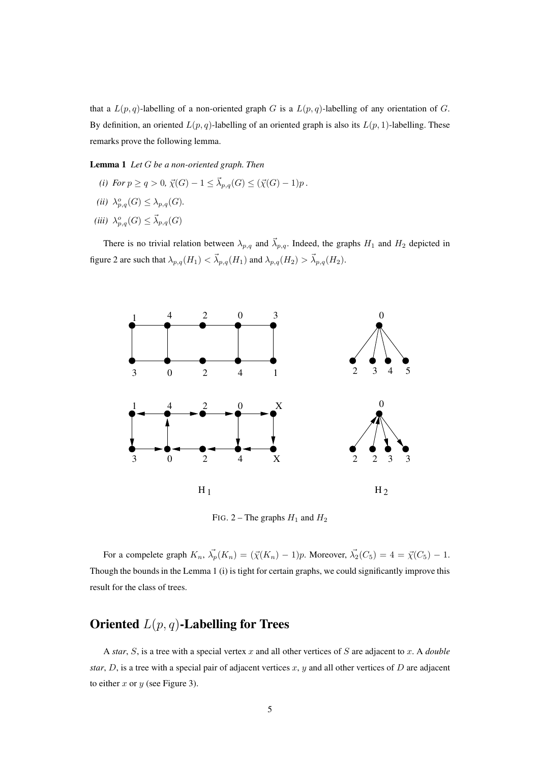that a  $L(p, q)$ -labelling of a non-oriented graph G is a  $L(p, q)$ -labelling of any orientation of G. By definition, an oriented  $L(p, q)$ -labelling of an oriented graph is also its  $L(p, 1)$ -labelling. These remarks prove the following lemma.

**Lemma 1** *Let* G *be a non-oriented graph. Then*

- *(i)* For  $p \ge q > 0$ ,  $\vec{\chi}(G) 1 \le \vec{\lambda}_{p,q}(G) \le (\vec{\chi}(G) 1)p$ .
- (*ii*)  $\lambda_{p,q}^o(G) \leq \lambda_{p,q}(G)$ .
- (*iii*)  $\lambda_{p,q}^o(G) \leq \vec{\lambda}_{p,q}(G)$

There is no trivial relation between  $\lambda_{p,q}$  and  $\vec{\lambda}_{p,q}$ . Indeed, the graphs  $H_1$  and  $H_2$  depicted in figure 2 are such that  $\lambda_{p,q}(H_1) < \vec{\lambda}_{p,q}(H_1)$  and  $\lambda_{p,q}(H_2) > \vec{\lambda}_{p,q}(H_2)$ .



FIG. 2 – The graphs  $H_1$  and  $H_2$ 

For a compelete graph  $K_n$ ,  $\vec{\lambda_p}(K_n) = (\vec{\chi}(K_n) - 1)p$ . Moreover,  $\vec{\lambda_2}(C_5) = 4 = \vec{\chi}(C_5) - 1$ . Though the bounds in the Lemma 1 (i) is tight for certain graphs, we could significantly improve this result for the class of trees.

## **Oriented** L(p, q)**-Labelling for Trees**

A *star*, S, is a tree with a special vertex x and all other vertices of S are adjacent to x. A *double star*,  $D$ , is a tree with a special pair of adjacent vertices  $x$ ,  $y$  and all other vertices of  $D$  are adjacent to either  $x$  or  $y$  (see Figure 3).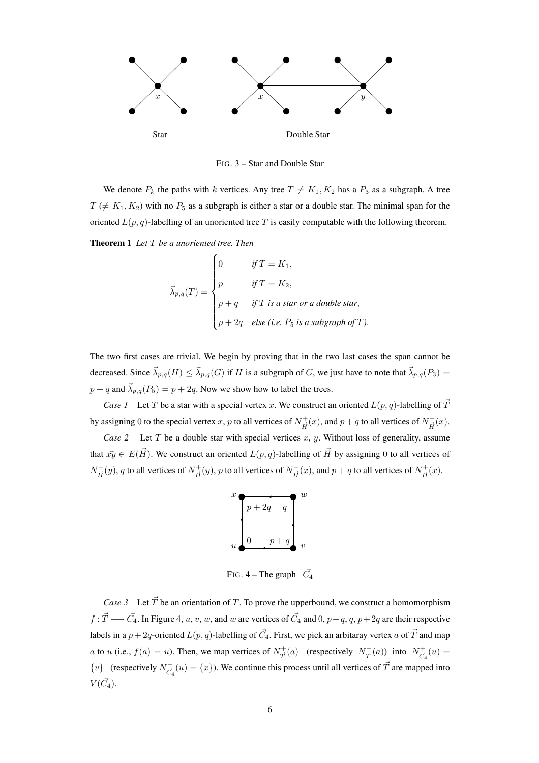

FIG. 3 – Star and Double Star

We denote  $P_k$  the paths with k vertices. Any tree  $T \neq K_1, K_2$  has a  $P_3$  as a subgraph. A tree  $T \neq K_1, K_2$ ) with no  $P_5$  as a subgraph is either a star or a double star. The minimal span for the oriented  $L(p, q)$ -labelling of an unoriented tree T is easily computable with the following theorem.

**Theorem 1** *Let* T *be a unoriented tree. Then*

$$
\vec{\lambda}_{p,q}(T) = \begin{cases}\n0 & \text{if } T = K_1, \\
p & \text{if } T = K_2, \\
p + q & \text{if } T \text{ is a star or a double star,} \\
p + 2q & \text{else (i.e. } P_5 \text{ is a subgraph of } T).\n\end{cases}
$$

The two first cases are trivial. We begin by proving that in the two last cases the span cannot be decreased. Since  $\vec{\lambda}_{p,q}(H) \leq \vec{\lambda}_{p,q}(G)$  if H is a subgraph of G, we just have to note that  $\vec{\lambda}_{p,q}(P_3)$  =  $p + q$  and  $\vec{\lambda}_{p,q}(P_5) = p + 2q$ . Now we show how to label the trees.

*Case 1* Let T be a star with a special vertex x. We construct an oriented  $L(p, q)$ -labelling of  $\vec{T}$ by assigning 0 to the special vertex x, p to all vertices of  $N^+_{\vec{H}}(x)$ , and  $p + q$  to all vertices of  $N^-_{\vec{H}}$  $\bar{H}^{(x)}$ .

*Case 2* Let T be a double star with special vertices  $x, y$ . Without loss of generality, assume that  $\vec{xy} \in E(\vec{H})$ . We construct an oriented  $L(p, q)$ -labelling of  $\vec{H}$  by assigning 0 to all vertices of  $N_{\vec{H}}^ \bar{H}_{\vec{H}}(y)$ , q to all vertices of  $N^+_{\vec{H}}(y)$ , p to all vertices of  $N^-_{\vec{H}}$  $\overline{H}_{\vec{H}}(x)$ , and  $p + q$  to all vertices of  $N_{\vec{H}}^{+}(x)$ .



FIG. 4 – The graph  $\vec{C_4}$ 

*Case 3* Let  $\vec{T}$  be an orientation of T. To prove the upperbound, we construct a homomorphism  $f: \vec{T} \longrightarrow \vec{C}_4$ . In Figure 4, u, v, w, and w are vertices of  $\vec{C}_4$  and 0,  $p+q$ ,  $q$ ,  $p+2q$  are their respective labels in a  $p+2q$ -oriented  $L(p,q)$ -labelling of  $\vec{C_4}.$  First, we pick an arbitaray vertex  $a$  of  $\vec{T}$  and map a to u (i.e.,  $f(a) = u$ ). Then, we map vertices of  $N_{\vec{T}}^+(a)$  (respectively  $N_{\vec{T}}^ T^{-}_{\vec{T}}(a)$  into  $N^{+}_{\vec{C}_4}(u) =$  $\{v\}$  (respectively  $N_{\vec{c}}^ \overline{C}_4(u) = \{x\}$ ). We continue this process until all vertices of  $\overrightarrow{T}$  are mapped into  $V(\vec{C_4})$ .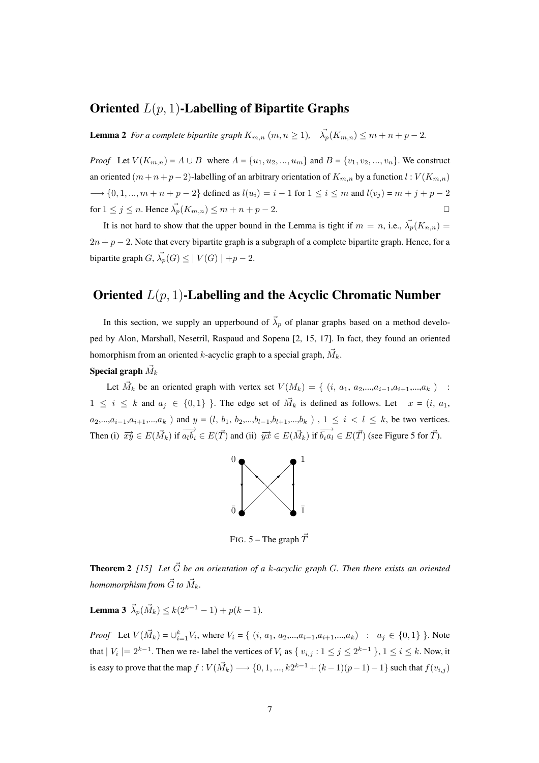## **Oriented** L(p, 1)**-Labelling of Bipartite Graphs**

**Lemma 2** *For a complete bipartite graph*  $K_{m,n}$   $(m, n \ge 1)$ ,  $\overrightarrow{\lambda_p}(K_{m,n}) \le m + n + p - 2$ .

*Proof* Let  $V(K_{m,n}) = A \cup B$  where  $A = \{u_1, u_2, ..., u_m\}$  and  $B = \{v_1, v_2, ..., v_n\}$ . We construct an oriented  $(m+n+p-2)$ -labelling of an arbitrary orientation of  $K_{m,n}$  by a function  $l: V(K_{m,n})$  $\longrightarrow$  {0, 1, ...,  $m + n + p - 2$ } defined as  $l(u_i) = i - 1$  for  $1 \le i \le m$  and  $l(v_i) = m + j + p - 2$ for  $1 \leq j \leq n$ . Hence  $\overrightarrow{\lambda}_p(K_{m,n}) \leq m + n + p - 2$ .

It is not hard to show that the upper bound in the Lemma is tight if  $m = n$ , i.e.,  $\vec{\lambda_p}(K_{n,n}) =$  $2n + p - 2$ . Note that every bipartite graph is a subgraph of a complete bipartite graph. Hence, for a bipartite graph  $G, \vec{\lambda_p}(G) \leq |V(G)| + p - 2$ .

#### **Oriented** L(p, 1)**-Labelling and the Acyclic Chromatic Number**

In this section, we supply an upperbound of  $\vec{\lambda}_p$  of planar graphs based on a method developed by Alon, Marshall, Nesetril, Raspaud and Sopena [2, 15, 17]. In fact, they found an oriented homorphism from an oriented k-acyclic graph to a special graph,  $\vec{M}_k$ .

#### ${\bf Special \ graph} \ \vec{M}_k$

Let  $\vec{M}_k$  be an oriented graph with vertex set  $V(M_k) = \{ (i, a_1, a_2, ..., a_{i-1}, a_{i+1}, ..., a_k) \}$ :  $1 \leq i \leq k$  and  $a_j \in \{0,1\}$ . The edge set of  $\vec{M}_k$  is defined as follows. Let  $x = (i, a_1, a_2)$  $a_2,...,a_{i-1},a_{i+1},...,a_k$ ) and  $y = (l, b_1, b_2,...,b_{l-1},b_{l+1},...,b_k)$ ,  $1 \le i < l \le k$ , be two vertices. Then (i)  $\overrightarrow{xy} \in E(\overrightarrow{M_k})$  if  $\overrightarrow{a_l b_i}$  $\overrightarrow{a_l b_i} \in E(\vec{T})$  and (ii)  $\overrightarrow{yx} \in E(\vec{M_k})$  if  $\overrightarrow{b_i a_l} \in E(\vec{T})$  (see Figure 5 for  $\vec{T}$ ).



FIG. 5 – The graph  $\vec{T}$ 

**Theorem 2** [15] Let  $\vec{G}$  be an orientation of a k-acyclic graph G. Then there exists an oriented homomorphism from  $\vec{G}$  to  $\vec{M}_{k}.$ 

**Lemma 3**  $\vec{\lambda}_p(\vec{M}_k) \le k(2^{k-1}-1) + p(k-1)$ .

*Proof* Let  $V(\vec{M}_k) = \bigcup_{i=1}^k V_i$ , where  $V_i = \{ (i, a_1, a_2, \dots, a_{i-1}, a_{i+1}, \dots, a_k) : a_j \in \{0, 1\} \}$ . Note that  $|V_i| = 2^{k-1}$ . Then we re-label the vertices of  $V_i$  as  $\{v_{i,j} : 1 \le j \le 2^{k-1}\}\,$ ,  $1 \le i \le k$ . Now, it is easy to prove that the map  $f: V(\vec{M}_k) \longrightarrow \{0, 1, ..., k2^{k-1} + (k-1)(p-1) - 1\}$  such that  $f(v_{i,j})$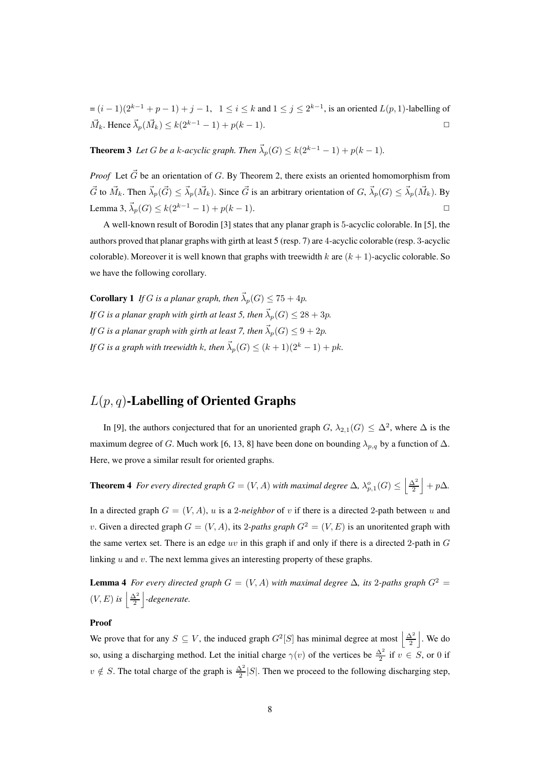$=(i-1)(2^{k-1}+p-1)+j-1, 1 \le i \le k$  and  $1 \le j \le 2^{k-1}$ , is an oriented  $L(p, 1)$ -labelling of  $\vec{M}_k$ . Hence  $\vec{\lambda}_p(\vec{M}_k) \le k(2^{k-1}-1) + p(k-1)$ . □

**Theorem 3** *Let* G *be a* k-acyclic graph. Then  $\vec{\lambda}_p(G) \leq k(2^{k-1} - 1) + p(k-1)$ *.* 

*Proof* Let  $\vec{G}$  be an orientation of G. By Theorem 2, there exists an oriented homomorphism from  $\vec{G}$  to  $\vec{M}_k$ . Then  $\vec{\lambda}_p(\vec{G}) \leq \vec{\lambda}_p(\vec{M}_k)$ . Since  $\vec{G}$  is an arbitrary orientation of  $G, \vec{\lambda}_p(G) \leq \vec{\lambda}_p(\vec{M}_k)$ . By Lemma 3,  $\vec{\lambda}_p(G) \leq k(2^{k-1}-1) + p(k-1)$ .

A well-known result of Borodin [3] states that any planar graph is 5-acyclic colorable. In [5], the authors proved that planar graphs with girth at least 5 (resp. 7) are 4-acyclic colorable (resp. 3-acyclic colorable). Moreover it is well known that graphs with treewidth k are  $(k + 1)$ -acyclic colorable. So we have the following corollary.

**Corollary 1** *If* G *is a planar graph, then*  $\vec{\lambda}_p(G) \le 75 + 4p$ *. If* G is a planar graph with girth at least 5, then  $\vec{\lambda}_p(G) \leq 28 + 3p$ . *If* G is a planar graph with girth at least 7, then  $\vec{\lambda}_p(G) \leq 9 + 2p$ . *If* G is a graph with treewidth k, then  $\vec{\lambda}_p(G) \leq (k+1)(2^k-1) + pk$ .

### L(p, q)**-Labelling of Oriented Graphs**

In [9], the authors conjectured that for an unoriented graph  $G$ ,  $\lambda_{2,1}(G) \leq \Delta^2$ , where  $\Delta$  is the maximum degree of G. Much work [6, 13, 8] have been done on bounding  $\lambda_{p,q}$  by a function of  $\Delta$ . Here, we prove a similar result for oriented graphs.

**Theorem 4** For every directed graph  $G = (V, A)$  with maximal degree  $\Delta$ ,  $\lambda_{p,1}^o(G) \le \left| \frac{\Delta^2}{2} \right| + p\Delta$ .

In a directed graph  $G = (V, A)$ , u is a 2*-neighbor* of v if there is a directed 2-path between u and v. Given a directed graph  $G = (V, A)$ , its 2-paths graph  $G^2 = (V, E)$  is an unoritented graph with the same vertex set. There is an edge uv in this graph if and only if there is a directed 2-path in  $G$ linking  $u$  and  $v$ . The next lemma gives an interesting property of these graphs.

**Lemma 4** *For every directed graph*  $G = (V, A)$  *with maximal degree*  $\Delta$ *, its* 2*-paths graph*  $G^2 =$  $(V, E)$  is  $\left| \frac{\Delta^2}{2} \right|$ -degenerate.

#### **Proof**

We prove that for any  $S \subseteq V$ , the induced graph  $G^2[S]$  has minimal degree at most  $\left|\frac{\Delta^2}{2}\right|$ . We do so, using a discharging method. Let the initial charge  $\gamma(v)$  of the vertices be  $\frac{\Delta^2}{2}$  if  $v \in S$ , or 0 if  $v \notin S$ . The total charge of the graph is  $\frac{\Delta^2}{2}|S|$ . Then we proceed to the following discharging step,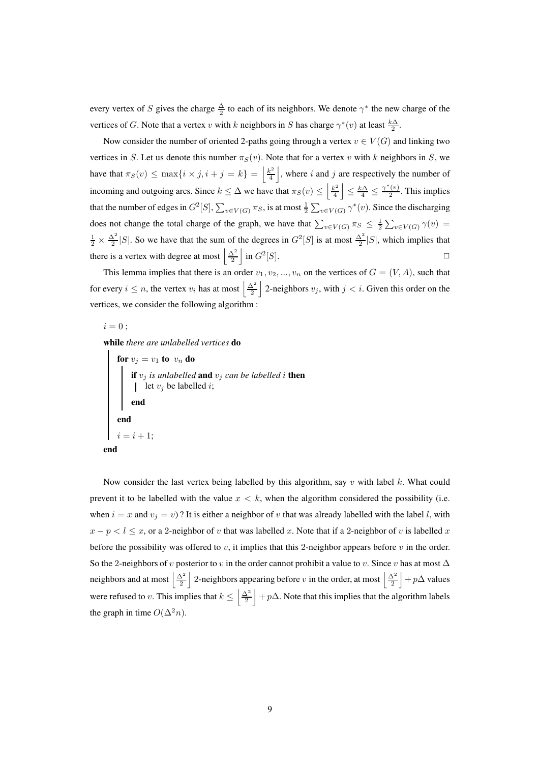every vertex of S gives the charge  $\frac{\Delta}{2}$  to each of its neighbors. We denote  $\gamma^*$  the new charge of the vertices of G. Note that a vertex v with k neighbors in S has charge  $\gamma^*(v)$  at least  $\frac{k\Delta}{2}$ .

Now consider the number of oriented 2-paths going through a vertex  $v \in V(G)$  and linking two vertices in S. Let us denote this number  $\pi_S(v)$ . Note that for a vertex v with k neighbors in S, we have that  $\pi_S(v) \le \max\{i \times j, i+j=k\} = \left\lfloor \frac{k^2}{4} \right\rfloor$  $\frac{k^2}{4}$ , where i and j are respectively the number of incoming and outgoing arcs. Since  $k \leq \Delta$  we have that  $\pi_S(v) \leq \left\lfloor \frac{k^2}{4} \right\rfloor$  $\left|\frac{k^2}{4}\right| \leq \frac{k\Delta}{4} \leq \frac{\gamma^*(v)}{2}$  $\frac{(v)}{2}$ . This implies that the number of edges in  $G^2[S], \sum_{v \in V(G)} \pi_S$ , is at most  $\frac{1}{2} \sum_{v \in V(G)} \gamma^*(v)$ . Since the discharging does not change the total charge of the graph, we have that  $\sum_{v \in V(G)} \pi_S \leq \frac{1}{2} \sum_{v \in V(G)} \gamma(v) =$  $\frac{1}{2} \times \frac{\Delta^2}{2} |S|$ . So we have that the sum of the degrees in  $G^2[S]$  is at most  $\frac{\Delta^2}{2} |S|$ , which implies that there is a vertex with degree at most  $\left| \frac{\Delta^2}{2} \right|$  in  $G^2$  $[S]$ .

This lemma implies that there is an order  $v_1, v_2, ..., v_n$  on the vertices of  $G = (V, A)$ , such that for every  $i \leq n$ , the vertex  $v_i$  has at most  $\left|\frac{\Delta^2}{2}\right|$  2-neighbors  $v_j$ , with  $j < i$ . Given this order on the vertices, we consider the following algorithm :

 $i = 0:$ 

**while** *there are unlabelled vertices* **do**

**for**  $v_j = v_1$  **to**  $v_n$  **do if** v<sup>j</sup> *is unlabelled* **and** v<sup>j</sup> *can be labelled* i **then** let  $v_j$  be labelled *i*; **end end**  $i = i + 1;$ **end**

Now consider the last vertex being labelled by this algorithm, say v with label k. What could prevent it to be labelled with the value  $x < k$ , when the algorithm considered the possibility (i.e. when  $i = x$  and  $v_j = v$ ? It is either a neighbor of v that was already labelled with the label l, with  $x - p < l \leq x$ , or a 2-neighbor of v that was labelled x. Note that if a 2-neighbor of v is labelled x. before the possibility was offered to v, it implies that this 2-neighbor appears before v in the order. So the 2-neighbors of v posterior to v in the order cannot prohibit a value to v. Since v has at most  $\Delta$ neighbors and at most  $\left|\frac{\Delta^2}{2}\right|$  2-neighbors appearing before v in the order, at most  $\left|\frac{\Delta^2}{2}\right| + p\Delta$  values were refused to v. This implies that  $k \leq \left|\frac{\Delta^2}{2}\right| + p\Delta$ . Note that this implies that the algorithm labels the graph in time  $O(\Delta^2 n)$ .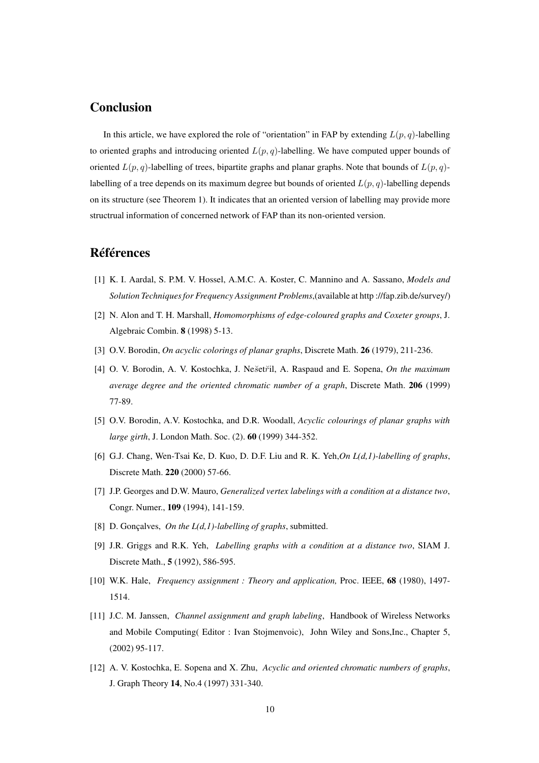### **Conclusion**

In this article, we have explored the role of "orientation" in FAP by extending  $L(p, q)$ -labelling to oriented graphs and introducing oriented  $L(p, q)$ -labelling. We have computed upper bounds of oriented  $L(p, q)$ -labelling of trees, bipartite graphs and planar graphs. Note that bounds of  $L(p, q)$ labelling of a tree depends on its maximum degree but bounds of oriented  $L(p, q)$ -labelling depends on its structure (see Theorem 1). It indicates that an oriented version of labelling may provide more structrual information of concerned network of FAP than its non-oriented version.

#### **Références**

- [1] K. I. Aardal, S. P.M. V. Hossel, A.M.C. A. Koster, C. Mannino and A. Sassano, *Models and Solution Techniques for Frequency Assignment Problems*,(available at http ://fap.zib.de/survey/)
- [2] N. Alon and T. H. Marshall, *Homomorphisms of edge-coloured graphs and Coxeter groups*, J. Algebraic Combin. **8** (1998) 5-13.
- [3] O.V. Borodin, *On acyclic colorings of planar graphs*, Discrete Math. **26** (1979), 211-236.
- [4] O. V. Borodin, A. V. Kostochka, J. Nes˘etr˘il, A. Raspaud and E. Sopena, *On the maximum average degree and the oriented chromatic number of a graph*, Discrete Math. **206** (1999) 77-89.
- [5] O.V. Borodin, A.V. Kostochka, and D.R. Woodall, *Acyclic colourings of planar graphs with large girth*, J. London Math. Soc. (2). **60** (1999) 344-352.
- [6] G.J. Chang, Wen-Tsai Ke, D. Kuo, D. D.F. Liu and R. K. Yeh,*On L(d,1)-labelling of graphs*, Discrete Math. **220** (2000) 57-66.
- [7] J.P. Georges and D.W. Mauro, *Generalized vertex labelings with a condition at a distance two*, Congr. Numer., **109** (1994), 141-159.
- [8] D. Gonçalves, *On the L(d,1)-labelling of graphs*, submitted.
- [9] J.R. Griggs and R.K. Yeh, *Labelling graphs with a condition at a distance two*, SIAM J. Discrete Math., **5** (1992), 586-595.
- [10] W.K. Hale, *Frequency assignment : Theory and application,* Proc. IEEE, **68** (1980), 1497- 1514.
- [11] J.C. M. Janssen, *Channel assignment and graph labeling*, Handbook of Wireless Networks and Mobile Computing( Editor : Ivan Stojmenvoic), John Wiley and Sons,Inc., Chapter 5, (2002) 95-117.
- [12] A. V. Kostochka, E. Sopena and X. Zhu, *Acyclic and oriented chromatic numbers of graphs*, J. Graph Theory **14**, No.4 (1997) 331-340.